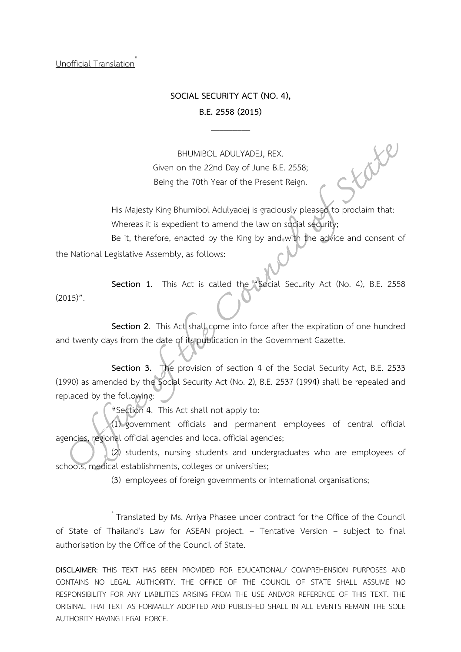Unofficial Translation\*

## **SOCIAL SECURITY ACT (NO. 4),**

## **B.E. 2558 (2015)**  $\overline{\phantom{a}}$

BHUMIBOL ADULYADEJ, REX. Given on the 22nd Day of June B.E. 2558; Being the 70th Year of the Present Reign.

His Majesty King Bhumibol Adulyadej is graciously pleased to proclaim that: Whereas it is expedient to amend the law on social security;

State

Be it, therefore, enacted by the King by and with the advice and consent of the National Legislative Assembly, as follows:

**Section 1**. This Act is called the "Social Security Act (No. 4), B.E. 2558  $(2015)$ ".

**Section 2.** This Act shall come into force after the expiration of one hundred and twenty days from the date of its publication in the Government Gazette.

**Section 3.** The provision of section 4 of the Social Security Act, B.E. 2533 (1990) as amended by the Social Security Act (No. 2), B.E. 2537 (1994) shall be repealed and replaced by the following:

"Section 4. This Act shall not apply to:

(1) government officials and permanent employees of central official agencies, regional official agencies and local official agencies;

(2) students, nursing students and undergraduates who are employees of schools, medical establishments, colleges or universities;

(3) employees of foreign governments or international organisations;

 $*$ Translated by Ms. Arriya Phasee under contract for the Office of the Council of State of Thailand's Law for ASEAN project. – Tentative Version – subject to final authorisation by the Office of the Council of State.

**DISCLAIMER**: THIS TEXT HAS BEEN PROVIDED FOR EDUCATIONAL/ COMPREHENSION PURPOSES AND CONTAINS NO LEGAL AUTHORITY. THE OFFICE OF THE COUNCIL OF STATE SHALL ASSUME NO RESPONSIBILITY FOR ANY LIABILITIES ARISING FROM THE USE AND/OR REFERENCE OF THIS TEXT. THE ORIGINAL THAI TEXT AS FORMALLY ADOPTED AND PUBLISHED SHALL IN ALL EVENTS REMAIN THE SOLE AUTHORITY HAVING LEGAL FORCE.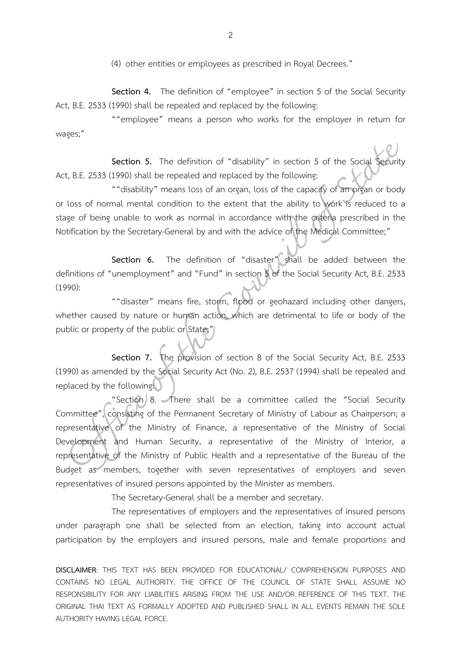(4) other entities or employees as prescribed in Royal Decrees."

**Section 4.** The definition of "employee" in section 5 of the Social Security Act, B.E. 2533 (1990) shall be repealed and replaced by the following:

""employee" means a person who works for the employer in return for wages;"

**Section 5.** The definition of "disability" in section 5 of the Social Security Act, B.E. 2533 (1990) shall be repealed and replaced by the following:

""disability" means loss of an organ, loss of the capacity of an organ or body or loss of normal mental condition to the extent that the ability to work is reduced to a stage of being unable to work as normal in accordance with the criteria prescribed in the Notification by the Secretary-General by and with the advice of the Medical Committee;"

**Section 6.** The definition of "disaster" shall be added between the definitions of "unemployment" and "Fund" in section 5 of the Social Security Act, B.E. 2533  $(1990):$ 

""disaster" means fire, storm, flood or geohazard including other dangers, whether caused by nature or human action, which are detrimental to life or body of the public or property of the public or State;"

**Section 7.** The provision of section 8 of the Social Security Act, B.E. 2533 (1990) as amended by the Social Security Act (No. 2), B.E. 2537 (1994) shall be repealed and replaced by the following:

"Section 8. There shall be a committee called the "Social Security Committee", consisting of the Permanent Secretary of Ministry of Labour as Chairperson; a representative of the Ministry of Finance, a representative of the Ministry of Social Development and Human Security, a representative of the Ministry of Interior, a representative of the Ministry of Public Health and a representative of the Bureau of the Budget as members, together with seven representatives of employers and seven representatives of insured persons appointed by the Minister as members.

The Secretary-General shall be a member and secretary.

The representatives of employers and the representatives of insured persons under paragraph one shall be selected from an election, taking into account actual participation by the employers and insured persons, male and female proportions and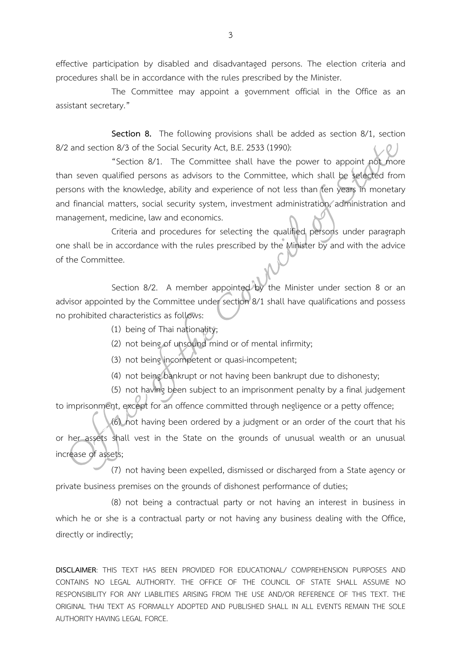effective participation by disabled and disadvantaged persons. The election criteria and procedures shall be in accordance with the rules prescribed by the Minister.

The Committee may appoint a government official in the Office as an assistant secretary."

**Section 8.** The following provisions shall be added as section 8/1, section 8/2 and section 8/3 of the Social Security Act, B.E. 2533 (1990):

"Section 8/1. The Committee shall have the power to appoint not more than seven qualified persons as advisors to the Committee, which shall be selected from persons with the knowledge, ability and experience of not less than ten years in monetary and financial matters, social security system, investment administration, administration and management, medicine, law and economics.

Criteria and procedures for selecting the qualified persons under paragraph one shall be in accordance with the rules prescribed by the Minister by and with the advice of the Committee.

Section 8/2. A member appointed by the Minister under section 8 or an advisor appointed by the Committee under section 8/1 shall have qualifications and possess no prohibited characteristics as follows:

- (1) being of Thai nationality;
- (2) not being of unsound mind or of mental infirmity;
- (3) not being incompetent or quasi-incompetent;
- (4) not being bankrupt or not having been bankrupt due to dishonesty;

(5) not having been subject to an imprisonment penalty by a final judgement

to imprisonment, except for an offence committed through negligence or a petty offence;

(6) not having been ordered by a judgment or an order of the court that his or her assets shall vest in the State on the grounds of unusual wealth or an unusual increase of assets;

(7) not having been expelled, dismissed or discharged from a State agency or private business premises on the grounds of dishonest performance of duties;

(8) not being a contractual party or not having an interest in business in which he or she is a contractual party or not having any business dealing with the Office, directly or indirectly;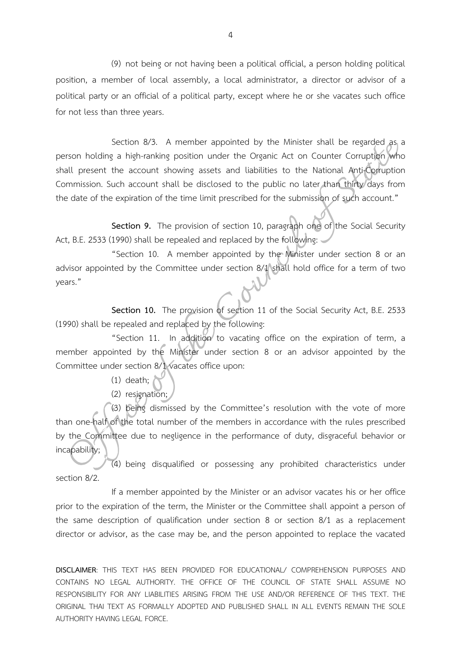(9) not being or not having been a political official, a person holding political position, a member of local assembly, a local administrator, a director or advisor of a political party or an official of a political party, except where he or she vacates such office for not less than three years.

Section 8/3. A member appointed by the Minister shall be regarded as a person holding a high-ranking position under the Organic Act on Counter Corruption who shall present the account showing assets and liabilities to the National Anti-Corruption Commission. Such account shall be disclosed to the public no later than thirty days from the date of the expiration of the time limit prescribed for the submission of such account."

**Section 9.** The provision of section 10, paragraph one of the Social Security Act, B.E. 2533 (1990) shall be repealed and replaced by the following:

"Section 10. A member appointed by the Minister under section 8 or an advisor appointed by the Committee under section 8/1 shall hold office for a term of two years."

**Section 10.** The provision of section 11 of the Social Security Act, B.E. 2533 (1990) shall be repealed and replaced by the following:

"Section 11. In addition to vacating office on the expiration of term, a member appointed by the Minister under section 8 or an advisor appointed by the Committee under section 8/1 vacates office upon:

- $(1)$  death;
- (2) resignation;

(3) being dismissed by the Committee's resolution with the vote of more than one-half of the total number of the members in accordance with the rules prescribed by the Committee due to negligence in the performance of duty, disgraceful behavior or incapability;

(4) being disqualified or possessing any prohibited characteristics under section 8/2.

If a member appointed by the Minister or an advisor vacates his or her office prior to the expiration of the term, the Minister or the Committee shall appoint a person of the same description of qualification under section 8 or section 8/1 as a replacement director or advisor, as the case may be, and the person appointed to replace the vacated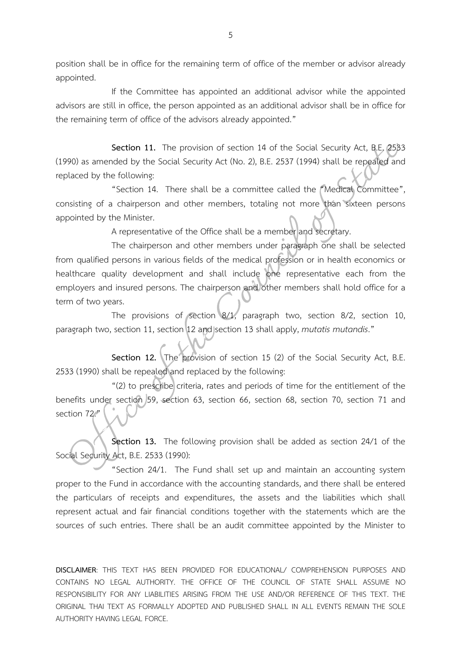position shall be in office for the remaining term of office of the member or advisor already appointed.

If the Committee has appointed an additional advisor while the appointed advisors are still in office, the person appointed as an additional advisor shall be in office for the remaining term of office of the advisors already appointed."

**Section 11.** The provision of section 14 of the Social Security Act, B.E. 2533 (1990) as amended by the Social Security Act (No. 2), B.E. 2537 (1994) shall be repealed and replaced by the following:

"Section 14. There shall be a committee called the "Medical Committee", consisting of a chairperson and other members, totaling not more than sixteen persons appointed by the Minister.

A representative of the Office shall be a member and secretary.

The chairperson and other members under paragraph one shall be selected from qualified persons in various fields of the medical profession or in health economics or healthcare quality development and shall include one representative each from the employers and insured persons. The chairperson and other members shall hold office for a term of two years.

The provisions of section 8/1, paragraph two, section 8/2, section 10, paragraph two, section 11, section 12 and section 13 shall apply, *mutatis mutandis*."

**Section 12.** The provision of section 15 (2) of the Social Security Act, B.E. 2533 (1990) shall be repealed and replaced by the following:

"(2) to prescribe criteria, rates and periods of time for the entitlement of the benefits under section 59, section 63, section 66, section 68, section 70, section 71 and section 72."

**Section 13.** The following provision shall be added as section 24/1 of the Social Security Act, B.E. 2533 (1990):

"Section 24/1. The Fund shall set up and maintain an accounting system proper to the Fund in accordance with the accounting standards, and there shall be entered the particulars of receipts and expenditures, the assets and the liabilities which shall represent actual and fair financial conditions together with the statements which are the sources of such entries. There shall be an audit committee appointed by the Minister to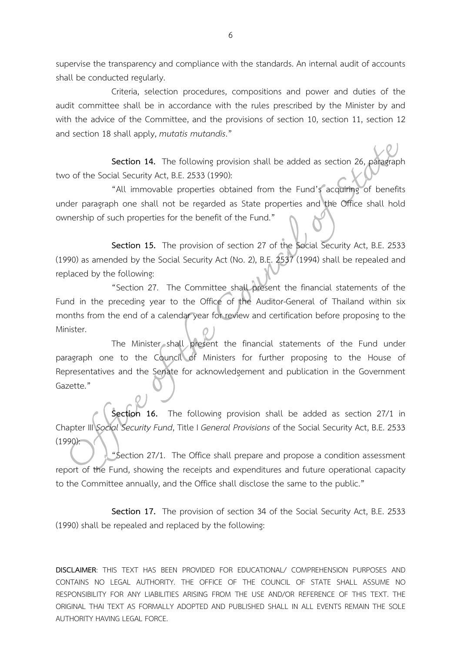supervise the transparency and compliance with the standards. An internal audit of accounts shall be conducted regularly.

Criteria, selection procedures, compositions and power and duties of the audit committee shall be in accordance with the rules prescribed by the Minister by and with the advice of the Committee, and the provisions of section 10, section 11, section 12 and section 18 shall apply, *mutatis mutandis*."

**Section 14.** The following provision shall be added as section 26, paragraph two of the Social Security Act, B.E. 2533 (1990):

"All immovable properties obtained from the Fund's acquiring of benefits under paragraph one shall not be regarded as State properties and the Office shall hold ownership of such properties for the benefit of the Fund."

**Section 15.** The provision of section 27 of the Social Security Act, B.E. 2533 (1990) as amended by the Social Security Act (No. 2), B.E. 2537 (1994) shall be repealed and replaced by the following:

"Section 27. The Committee shall present the financial statements of the Fund in the preceding year to the Office of the Auditor-General of Thailand within six months from the end of a calendar year for review and certification before proposing to the Minister.

The Minister shall present the financial statements of the Fund under paragraph one to the Council of Ministers for further proposing to the House of Representatives and the Senate for acknowledgement and publication in the Government Gazette."

**Section 16.** The following provision shall be added as section 27/1 in Chapter III *Social Security Fund*, Title I *General Provisions* of the Social Security Act, B.E. 2533 (1990):

"Section 27/1. The Office shall prepare and propose a condition assessment report of the Fund, showing the receipts and expenditures and future operational capacity to the Committee annually, and the Office shall disclose the same to the public."

**Section 17.** The provision of section 34 of the Social Security Act, B.E. 2533 (1990) shall be repealed and replaced by the following: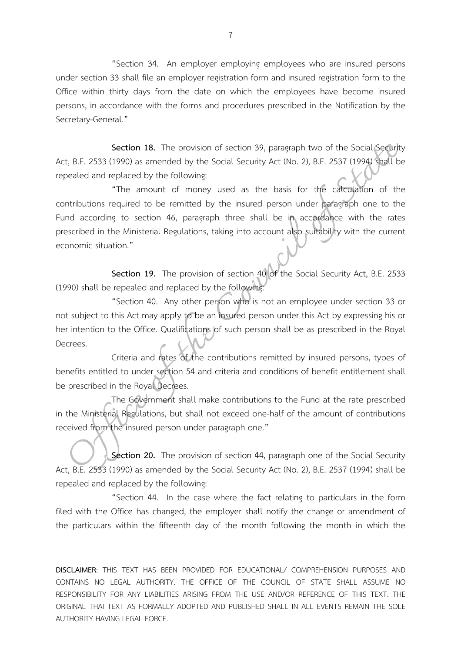"Section 34. An employer employing employees who are insured persons under section 33 shall file an employer registration form and insured registration form to the Office within thirty days from the date on which the employees have become insured persons, in accordance with the forms and procedures prescribed in the Notification by the Secretary-General."

**Section 18.** The provision of section 39, paragraph two of the Social Security Act, B.E. 2533 (1990) as amended by the Social Security Act (No. 2), B.E. 2537 (1994) shall be repealed and replaced by the following:

"The amount of money used as the basis for the calculation of the contributions required to be remitted by the insured person under paragraph one to the Fund according to section 46, paragraph three shall be in accordance with the rates prescribed in the Ministerial Regulations, taking into account also suitability with the current economic situation."

**Section 19.** The provision of section 40 of the Social Security Act, B.E. 2533 (1990) shall be repealed and replaced by the following:

"Section 40. Any other person who is not an employee under section 33 or not subject to this Act may apply to be an insured person under this Act by expressing his or her intention to the Office. Qualifications of such person shall be as prescribed in the Royal Decrees.

Criteria and rates of the contributions remitted by insured persons, types of benefits entitled to under section 54 and criteria and conditions of benefit entitlement shall be prescribed in the Royal Decrees.

The Government shall make contributions to the Fund at the rate prescribed in the Ministerial Regulations, but shall not exceed one-half of the amount of contributions received from the insured person under paragraph one."

**Section 20.** The provision of section 44, paragraph one of the Social Security Act, B.E. 2533 (1990) as amended by the Social Security Act (No. 2), B.E. 2537 (1994) shall be repealed and replaced by the following:

"Section 44. In the case where the fact relating to particulars in the form filed with the Office has changed, the employer shall notify the change or amendment of the particulars within the fifteenth day of the month following the month in which the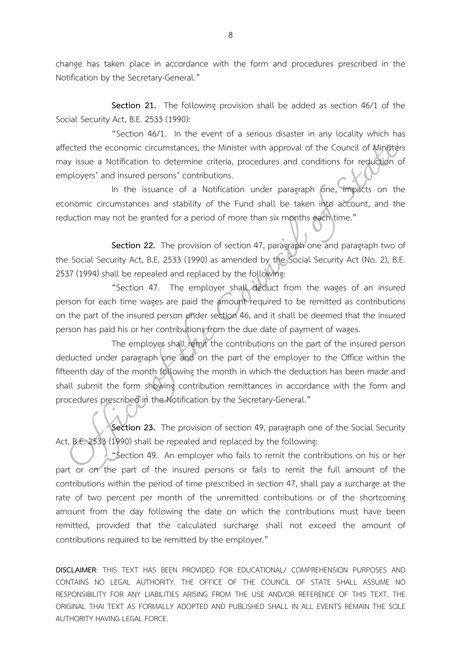change has taken place in accordance with the form and procedures prescribed in the Notification by the Secretary-General."

**Section 21.** The following provision shall be added as section 46/1 of the Social Security Act, B.E. 2533 (1990):

"Section 46/1. In the event of a serious disaster in any locality which has affected the economic circumstances, the Minister with approval of the Council of Ministers may issue a Notification to determine criteria, procedures and conditions for reduction of employers' and insured persons' contributions.

In the issuance of a Notification under paragraph one, impacts on the economic circumstances and stability of the Fund shall be taken into account, and the reduction may not be granted for a period of more than six months each time."

**Section 22.** The provision of section 47, paragraph one and paragraph two of the Social Security Act, B.E. 2533 (1990) as amended by the Social Security Act (No. 2), B.E. 2537 (1994) shall be repealed and replaced by the following:

"Section 47. The employer shall deduct from the wages of an insured person for each time wages are paid the amount required to be remitted as contributions on the part of the insured person under section 46, and it shall be deemed that the insured person has paid his or her contributions from the due date of payment of wages.

The employer shall remit the contributions on the part of the insured person deducted under paragraph one and on the part of the employer to the Office within the fifteenth day of the month following the month in which the deduction has been made and shall submit the form showing contribution remittances in accordance with the form and procedures prescribed in the Notification by the Secretary-General."

**Section 23.** The provision of section 49, paragraph one of the Social Security Act, B.E. 2533 (1990) shall be repealed and replaced by the following:

"Section 49. An employer who fails to remit the contributions on his or her part or on the part of the insured persons or fails to remit the full amount of the contributions within the period of time prescribed in section 47, shall pay a surcharge at the rate of two percent per month of the unremitted contributions or of the shortcoming amount from the day following the date on which the contributions must have been remitted, provided that the calculated surcharge shall not exceed the amount of contributions required to be remitted by the employer."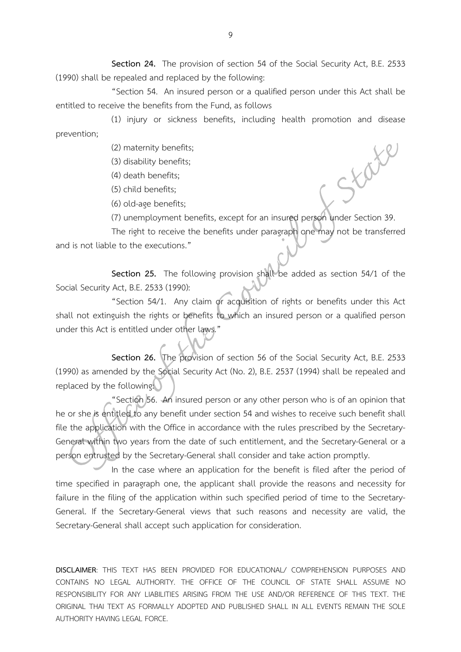**Section 24.** The provision of section 54 of the Social Security Act, B.E. 2533 (1990) shall be repealed and replaced by the following:

"Section 54. An insured person or a qualified person under this Act shall be entitled to receive the benefits from the Fund, as follows

(1) injury or sickness benefits, including health promotion and disease prevention;

(2) maternity benefits;

(3) disability benefits;

(4) death benefits;

(5) child benefits;

(6) old-age benefits;

(7) unemployment benefits, except for an insured person under Section 39.

State

The right to receive the benefits under paragraph one may not be transferred and is not liable to the executions."

**Section 25.** The following provision shall be added as section 54/1 of the Social Security Act, B.E. 2533 (1990):

"Section 54/1. Any claim or acquisition of rights or benefits under this Act shall not extinguish the rights or benefits to which an insured person or a qualified person under this Act is entitled under other laws."

**Section 26.** The provision of section 56 of the Social Security Act, B.E. 2533 (1990) as amended by the Social Security Act (No. 2), B.E. 2537 (1994) shall be repealed and replaced by the following:

"Section 56. An insured person or any other person who is of an opinion that he or she is entitled to any benefit under section 54 and wishes to receive such benefit shall file the application with the Office in accordance with the rules prescribed by the Secretary-General within two years from the date of such entitlement, and the Secretary-General or a person entrusted by the Secretary-General shall consider and take action promptly.

In the case where an application for the benefit is filed after the period of time specified in paragraph one, the applicant shall provide the reasons and necessity for failure in the filing of the application within such specified period of time to the Secretary-General. If the Secretary-General views that such reasons and necessity are valid, the Secretary-General shall accept such application for consideration.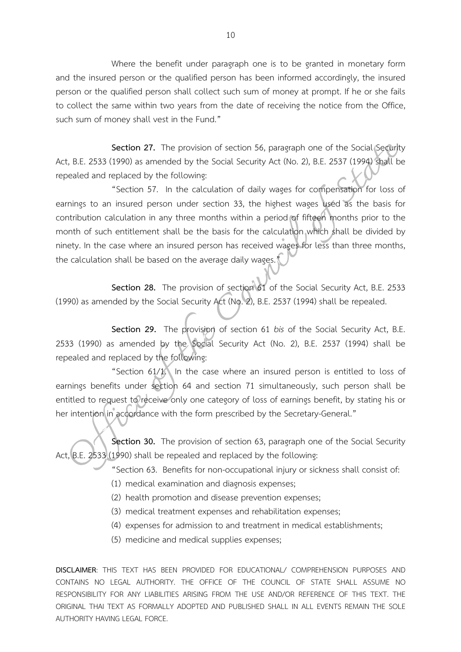Where the benefit under paragraph one is to be granted in monetary form and the insured person or the qualified person has been informed accordingly, the insured person or the qualified person shall collect such sum of money at prompt. If he or she fails to collect the same within two years from the date of receiving the notice from the Office, such sum of money shall vest in the Fund."

**Section 27.** The provision of section 56, paragraph one of the Social Security Act, B.E. 2533 (1990) as amended by the Social Security Act (No. 2), B.E. 2537 (1994) shall be repealed and replaced by the following:

"Section 57. In the calculation of daily wages for compensation for loss of earnings to an insured person under section 33, the highest wages used as the basis for contribution calculation in any three months within a period of fifteen months prior to the month of such entitlement shall be the basis for the calculation which shall be divided by ninety. In the case where an insured person has received wages for less than three months, the calculation shall be based on the average daily wages."

**Section 28.** The provision of section 61 of the Social Security Act, B.E. 2533 (1990) as amended by the Social Security Act (No. 2), B.E. 2537 (1994) shall be repealed.

**Section 29.** The provision of section 61 *bis* of the Social Security Act, B.E. 2533 (1990) as amended by the Social Security Act (No. 2), B.E. 2537 (1994) shall be repealed and replaced by the following:

"Section 61/1. In the case where an insured person is entitled to loss of earnings benefits under section 64 and section 71 simultaneously, such person shall be entitled to request to receive only one category of loss of earnings benefit, by stating his or her intention in accordance with the form prescribed by the Secretary-General."

**Section 30.** The provision of section 63, paragraph one of the Social Security Act, B.E. 2533 (1990) shall be repealed and replaced by the following:

"Section 63. Benefits for non-occupational injury or sickness shall consist of:

- (1) medical examination and diagnosis expenses;
- (2) health promotion and disease prevention expenses;
- (3) medical treatment expenses and rehabilitation expenses;
- (4) expenses for admission to and treatment in medical establishments;
- (5) medicine and medical supplies expenses;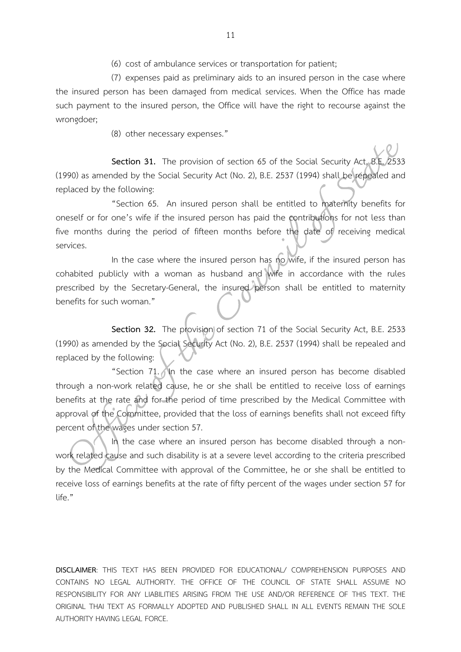(6) cost of ambulance services or transportation for patient;

(7) expenses paid as preliminary aids to an insured person in the case where the insured person has been damaged from medical services. When the Office has made such payment to the insured person, the Office will have the right to recourse against the wrongdoer;

(8) other necessary expenses."

**Section 31.** The provision of section 65 of the Social Security Act, B.E. 2533 (1990) as amended by the Social Security Act (No. 2), B.E. 2537 (1994) shall be repealed and replaced by the following:

"Section 65. An insured person shall be entitled to maternity benefits for oneself or for one's wife if the insured person has paid the contributions for not less than five months during the period of fifteen months before the date of receiving medical services.

In the case where the insured person has no wife, if the insured person has cohabited publicly with a woman as husband and wife in accordance with the rules prescribed by the Secretary-General, the insured person shall be entitled to maternity benefits for such woman."

**Section 32.** The provision of section 71 of the Social Security Act, B.E. 2533 (1990) as amended by the Social Security Act (No. 2), B.E. 2537 (1994) shall be repealed and replaced by the following:

"Section 71. In the case where an insured person has become disabled through a non-work related cause, he or she shall be entitled to receive loss of earnings benefits at the rate and for the period of time prescribed by the Medical Committee with approval of the Committee, provided that the loss of earnings benefits shall not exceed fifty percent of the wages under section 57.

In the case where an insured person has become disabled through a nonwork related cause and such disability is at a severe level according to the criteria prescribed by the Medical Committee with approval of the Committee, he or she shall be entitled to receive loss of earnings benefits at the rate of fifty percent of the wages under section 57 for  $l$ ife $"$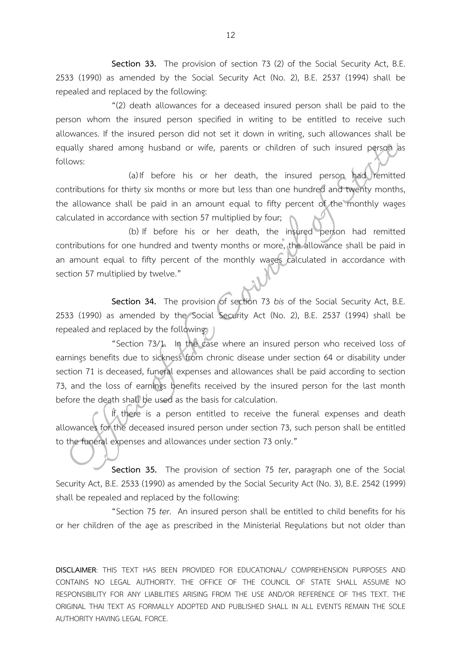**Section 33.** The provision of section 73 (2) of the Social Security Act, B.E. 2533 (1990) as amended by the Social Security Act (No. 2), B.E. 2537 (1994) shall be repealed and replaced by the following:

"(2) death allowances for a deceased insured person shall be paid to the person whom the insured person specified in writing to be entitled to receive such allowances. If the insured person did not set it down in writing, such allowances shall be equally shared among husband or wife, parents or children of such insured person as follows:

(a) If before his or her death, the insured person had remitted contributions for thirty six months or more but less than one hundred and twenty months, the allowance shall be paid in an amount equal to fifty percent of the monthly wages calculated in accordance with section 57 multiplied by four;

(b) If before his or her death, the insured person had remitted contributions for one hundred and twenty months or more, the allowance shall be paid in an amount equal to fifty percent of the monthly wages calculated in accordance with section 57 multiplied by twelve."

Section 34. The provision of section 73 *bis* of the Social Security Act, B.E. 2533 (1990) as amended by the Social Security Act (No. 2), B.E. 2537 (1994) shall be repealed and replaced by the following:

"Section 73/1. In the case where an insured person who received loss of earnings benefits due to sickness from chronic disease under section 64 or disability under section 71 is deceased, funeral expenses and allowances shall be paid according to section 73, and the loss of earnings benefits received by the insured person for the last month before the death shall be used as the basis for calculation.

If there is a person entitled to receive the funeral expenses and death allowances for the deceased insured person under section 73, such person shall be entitled to the funeral expenses and allowances under section 73 only."

**Section 35.** The provision of section 75 *ter*, paragraph one of the Social Security Act, B.E. 2533 (1990) as amended by the Social Security Act (No. 3), B.E. 2542 (1999) shall be repealed and replaced by the following:

"Section 75 *ter*. An insured person shall be entitled to child benefits for his or her children of the age as prescribed in the Ministerial Regulations but not older than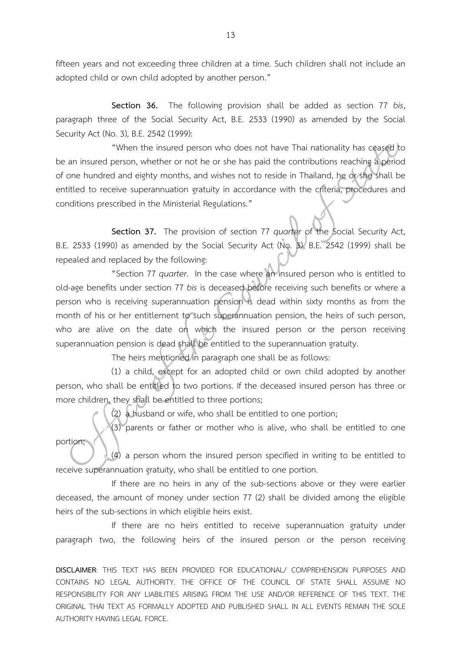fifteen years and not exceeding three children at a time. Such children shall not include an adopted child or own child adopted by another person."

**Section 36.** The following provision shall be added as section 77 *bis*, paragraph three of the Social Security Act, B.E. 2533 (1990) as amended by the Social Security Act (No. 3), B.E. 2542 (1999):

"When the insured person who does not have Thai nationality has ceased to be an insured person, whether or not he or she has paid the contributions reaching a period of one hundred and eighty months, and wishes not to reside in Thailand, he or she shall be entitled to receive superannuation gratuity in accordance with the criteria, procedures and conditions prescribed in the Ministerial Regulations."

**Section 37.** The provision of section 77 *quarter* of the Social Security Act, B.E. 2533 (1990) as amended by the Social Security Act (No. 3), B.E. 2542 (1999) shall be repealed and replaced by the following:

"Section 77 *quarter*. In the case where an insured person who is entitled to old-age benefits under section 77 *bis* is deceased before receiving such benefits or where a person who is receiving superannuation pension is dead within sixty months as from the month of his or her entitlement to such superannuation pension, the heirs of such person, who are alive on the date on which the insured person or the person receiving superannuation pension is dead shall be entitled to the superannuation gratuity.

The heirs mentioned in paragraph one shall be as follows:

(1) a child, except for an adopted child or own child adopted by another person, who shall be entitled to two portions. If the deceased insured person has three or more children, they shall be entitled to three portions;

(2) a husband or wife, who shall be entitled to one portion;

(3) parents or father or mother who is alive, who shall be entitled to one portion;

(4) a person whom the insured person specified in writing to be entitled to receive superannuation gratuity, who shall be entitled to one portion.

If there are no heirs in any of the sub-sections above or they were earlier deceased, the amount of money under section 77 (2) shall be divided among the eligible heirs of the sub-sections in which eligible heirs exist.

If there are no heirs entitled to receive superannuation gratuity under paragraph two, the following heirs of the insured person or the person receiving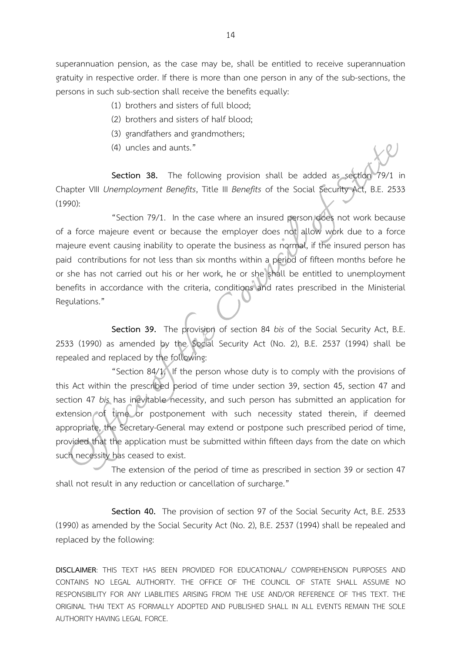superannuation pension, as the case may be, shall be entitled to receive superannuation gratuity in respective order. If there is more than one person in any of the sub-sections, the persons in such sub-section shall receive the benefits equally:

- (1) brothers and sisters of full blood;
- (2) brothers and sisters of half blood;
- (3) grandfathers and grandmothers;
- (4) uncles and aunts."

**Section 38.** The following provision shall be added as section 79/1 in Chapter VIII *Unemployment Benefits*, Title III *Benefits* of the Social Security Act, B.E. 2533 (1990):

"Section 79/1. In the case where an insured person does not work because of a force majeure event or because the employer does not allow work due to a force majeure event causing inability to operate the business as normal, if the insured person has paid contributions for not less than six months within a period of fifteen months before he or she has not carried out his or her work, he or she shall be entitled to unemployment benefits in accordance with the criteria, conditions and rates prescribed in the Ministerial Regulations."

**Section 39.** The provision of section 84 *bis* of the Social Security Act, B.E. 2533 (1990) as amended by the Social Security Act (No. 2), B.E. 2537 (1994) shall be repealed and replaced by the following:

"Section 84/1. If the person whose duty is to comply with the provisions of this Act within the prescribed period of time under section 39, section 45, section 47 and section 47 *bis* has inevitable necessity, and such person has submitted an application for extension of time or postponement with such necessity stated therein, if deemed appropriate, the Secretary-General may extend or postpone such prescribed period of time, provided that the application must be submitted within fifteen days from the date on which such necessity has ceased to exist.

The extension of the period of time as prescribed in section 39 or section 47 shall not result in any reduction or cancellation of surcharge."

**Section 40.** The provision of section 97 of the Social Security Act, B.E. 2533 (1990) as amended by the Social Security Act (No. 2), B.E. 2537 (1994) shall be repealed and replaced by the following: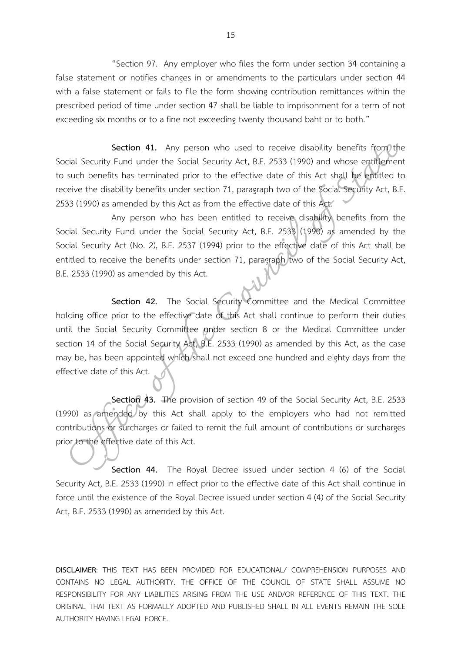"Section 97. Any employer who files the form under section 34 containing a false statement or notifies changes in or amendments to the particulars under section 44 with a false statement or fails to file the form showing contribution remittances within the prescribed period of time under section 47 shall be liable to imprisonment for a term of not exceeding six months or to a fine not exceeding twenty thousand baht or to both."

**Section 41.** Any person who used to receive disability benefits from the Social Security Fund under the Social Security Act, B.E. 2533 (1990) and whose entitlement to such benefits has terminated prior to the effective date of this Act shall be entitled to receive the disability benefits under section 71, paragraph two of the Social Security Act, B.E. 2533 (1990) as amended by this Act as from the effective date of this Act.

Any person who has been entitled to receive disability benefits from the Social Security Fund under the Social Security Act, B.E. 2533 (1990) as amended by the Social Security Act (No. 2), B.E. 2537 (1994) prior to the effective date of this Act shall be entitled to receive the benefits under section 71, paragraph two of the Social Security Act, B.E. 2533 (1990) as amended by this Act.

Section 42. The Social Security Committee and the Medical Committee holding office prior to the effective date of this Act shall continue to perform their duties until the Social Security Committee under section 8 or the Medical Committee under section 14 of the Social Security Act, B.E. 2533 (1990) as amended by this Act, as the case may be, has been appointed which shall not exceed one hundred and eighty days from the effective date of this Act.

**Section 43.** The provision of section 49 of the Social Security Act, B.E. 2533 (1990) as amended by this Act shall apply to the employers who had not remitted contributions or surcharges or failed to remit the full amount of contributions or surcharges prior to the effective date of this Act.

**Section 44.** The Royal Decree issued under section 4 (6) of the Social Security Act, B.E. 2533 (1990) in effect prior to the effective date of this Act shall continue in force until the existence of the Royal Decree issued under section 4 (4) of the Social Security Act, B.E. 2533 (1990) as amended by this Act.